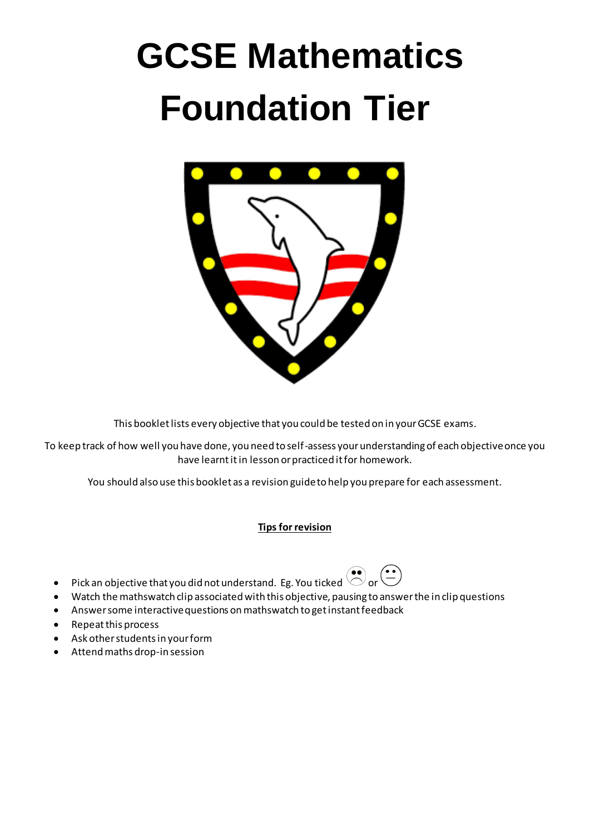# **GCSE Mathematics Foundation Tier**



This booklet lists every objective that you could be tested on in your GCSE exams.

To keep track of how well you have done, you need to self-assess your understanding of each objective once you have learnt itin lesson or practiced it for homework.

You should also use this booklet as a revision guide to help you prepare for each assessment.

#### **Tips for revision**

- 
- Pick an objective that you did not understand. Eg. You ticked  $\bigodot^{\bullet\bullet}$  or  $\bigodot^{\bullet\bullet}$ Watch the mathswatch clip associated with this objective, pausing to answer the in clip questions
- Answer some interactive questions on mathswatch to get instant feedback
- Repeat this process
- Ask other students in your form
- Attend maths drop-in session

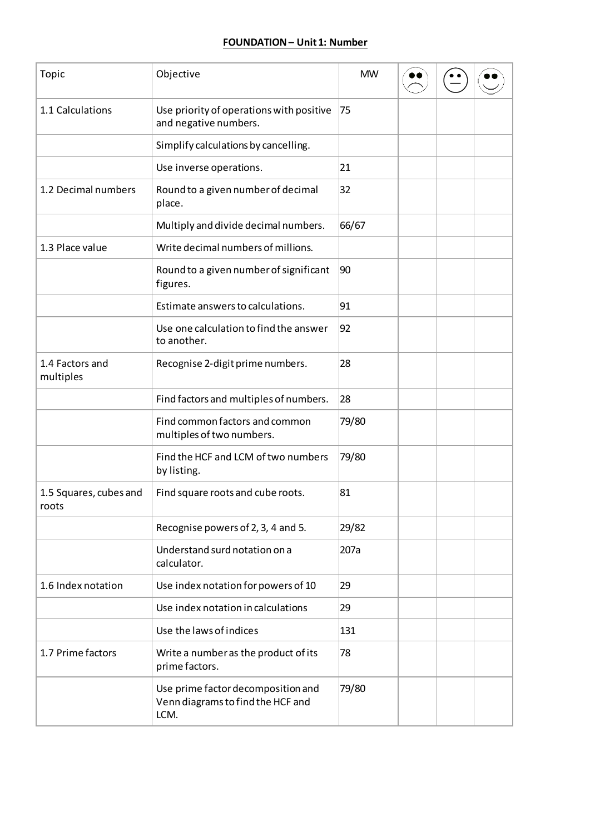#### **FOUNDATION– Unit 1: Number**

| Topic                           | Objective                                                                       | <b>MW</b> |  |  |
|---------------------------------|---------------------------------------------------------------------------------|-----------|--|--|
| 1.1 Calculations                | Use priority of operations with positive<br>and negative numbers.               | 75        |  |  |
|                                 | Simplify calculations by cancelling.                                            |           |  |  |
|                                 | Use inverse operations.                                                         | 21        |  |  |
| 1.2 Decimal numbers             | Round to a given number of decimal<br>place.                                    | 32        |  |  |
|                                 | Multiply and divide decimal numbers.                                            | 66/67     |  |  |
| 1.3 Place value                 | Write decimal numbers of millions.                                              |           |  |  |
|                                 | Round to a given number of significant<br>figures.                              | 90        |  |  |
|                                 | Estimate answers to calculations.                                               | 91        |  |  |
|                                 | Use one calculation to find the answer<br>to another.                           | 92        |  |  |
| 1.4 Factors and<br>multiples    | Recognise 2-digit prime numbers.                                                | 28        |  |  |
|                                 | Find factors and multiples of numbers.                                          | 28        |  |  |
|                                 | Find common factors and common<br>multiples of two numbers.                     | 79/80     |  |  |
|                                 | Find the HCF and LCM of two numbers<br>by listing.                              | 79/80     |  |  |
| 1.5 Squares, cubes and<br>roots | Find square roots and cube roots.                                               | 81        |  |  |
|                                 | Recognise powers of 2, 3, 4 and 5.                                              | 29/82     |  |  |
|                                 | Understand surd notation on a<br>calculator.                                    | 207a      |  |  |
| 1.6 Index notation              | Use index notation for powers of 10                                             | 29        |  |  |
|                                 | Use index notation in calculations                                              | 29        |  |  |
|                                 | Use the laws of indices                                                         | 131       |  |  |
| 1.7 Prime factors               | Write a number as the product of its<br>prime factors.                          | 78        |  |  |
|                                 | Use prime factor decomposition and<br>Venn diagrams to find the HCF and<br>LCM. | 79/80     |  |  |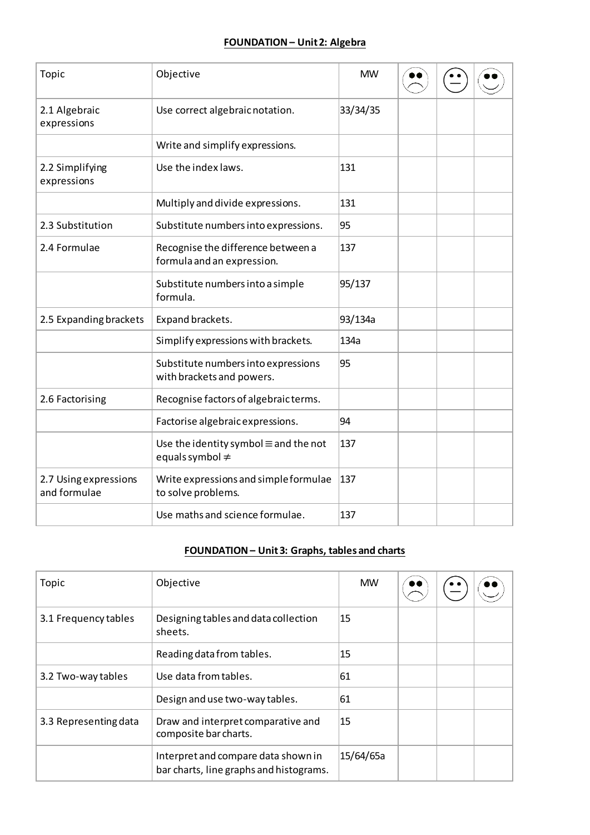## **FOUNDATION – Unit 2: Algebra**

| Topic                                 | Objective                                                            | <b>MW</b> |  |  |
|---------------------------------------|----------------------------------------------------------------------|-----------|--|--|
| 2.1 Algebraic<br>expressions          | Use correct algebraic notation.                                      | 33/34/35  |  |  |
|                                       | Write and simplify expressions.                                      |           |  |  |
| 2.2 Simplifying<br>expressions        | Use the index laws.                                                  | 131       |  |  |
|                                       | Multiply and divide expressions.                                     | 131       |  |  |
| 2.3 Substitution                      | Substitute numbers into expressions.                                 | 95        |  |  |
| 2.4 Formulae                          | Recognise the difference between a<br>formula and an expression.     | 137       |  |  |
|                                       | Substitute numbers into a simple<br>formula.                         | 95/137    |  |  |
| 2.5 Expanding brackets                | Expand brackets.                                                     | 93/134a   |  |  |
|                                       | Simplify expressions with brackets.                                  | 134a      |  |  |
|                                       | Substitute numbers into expressions<br>with brackets and powers.     | 95        |  |  |
| 2.6 Factorising                       | Recognise factors of algebraic terms.                                |           |  |  |
|                                       | Factorise algebraic expressions.                                     | 94        |  |  |
|                                       | Use the identity symbol $\equiv$ and the not<br>equals symbol $\neq$ | 137       |  |  |
| 2.7 Using expressions<br>and formulae | Write expressions and simple formulae<br>to solve problems.          | 137       |  |  |
|                                       | Use maths and science formulae.                                      | 137       |  |  |

# **FOUNDATION – Unit 3: Graphs, tables and charts**

| Topic                 | Objective                                                                      | <b>MW</b> |  |  |
|-----------------------|--------------------------------------------------------------------------------|-----------|--|--|
| 3.1 Frequency tables  | Designing tables and data collection<br>sheets.                                | 15        |  |  |
|                       | Reading data from tables.                                                      | 15        |  |  |
| 3.2 Two-way tables    | Use data from tables.                                                          | 61        |  |  |
|                       | Design and use two-way tables.                                                 | 61        |  |  |
| 3.3 Representing data | Draw and interpret comparative and<br>composite bar charts.                    | 15        |  |  |
|                       | Interpret and compare data shown in<br>bar charts, line graphs and histograms. | 15/64/65a |  |  |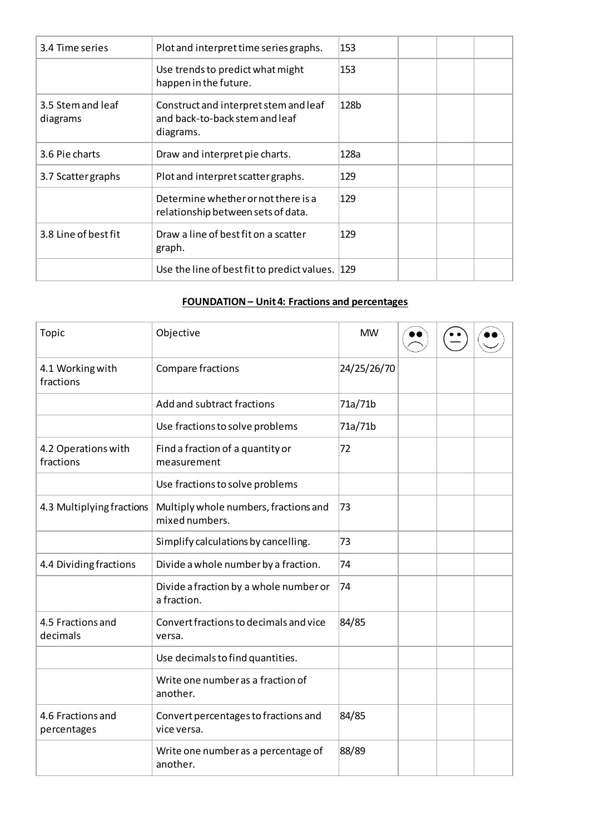| 3.4 Time series               | Plot and interpret time series graphs.                                               | 153  |  |  |
|-------------------------------|--------------------------------------------------------------------------------------|------|--|--|
|                               | Use trends to predict what might<br>happen in the future.                            | 153  |  |  |
| 3.5 Stem and leaf<br>diagrams | Construct and interpret stem and leaf<br>and back-to-back stem and leaf<br>diagrams. | 128b |  |  |
| 3.6 Pie charts                | Draw and interpret pie charts.                                                       | 128a |  |  |
| 3.7 Scatter graphs            | Plot and interpret scatter graphs.                                                   | 129  |  |  |
|                               | Determine whether or not there is a<br>relationship between sets of data.            | 129  |  |  |
| 3.8 Line of best fit          | Draw a line of best fit on a scatter<br>graph.                                       | 129  |  |  |
|                               | Use the line of best fit to predict values. 129                                      |      |  |  |

# **FOUNDATION – Unit 4: Fractions and percentages**

| Topic                            | Objective                                               | <b>MW</b>   |  |  |
|----------------------------------|---------------------------------------------------------|-------------|--|--|
| 4.1 Working with<br>fractions    | Compare fractions                                       | 24/25/26/70 |  |  |
|                                  | Add and subtract fractions                              | 71a/71b     |  |  |
|                                  | Use fractions to solve problems                         | 71a/71b     |  |  |
| 4.2 Operations with<br>fractions | Find a fraction of a quantity or<br>measurement         | 72          |  |  |
|                                  | Use fractions to solve problems                         |             |  |  |
| 4.3 Multiplying fractions        | Multiply whole numbers, fractions and<br>mixed numbers. | 73          |  |  |
|                                  | Simplify calculations by cancelling.                    | 73          |  |  |
| 4.4 Dividing fractions           | Divide a whole number by a fraction.                    | 74          |  |  |
|                                  | Divide a fraction by a whole number or<br>a fraction.   | 74          |  |  |
| 4.5 Fractions and<br>decimals    | Convert fractions to decimals and vice<br>versa.        | 84/85       |  |  |
|                                  | Use decimals to find quantities.                        |             |  |  |
|                                  | Write one number as a fraction of<br>another.           |             |  |  |
| 4.6 Fractions and<br>percentages | Convert percentages to fractions and<br>vice versa.     | 84/85       |  |  |
|                                  | Write one number as a percentage of<br>another.         | 88/89       |  |  |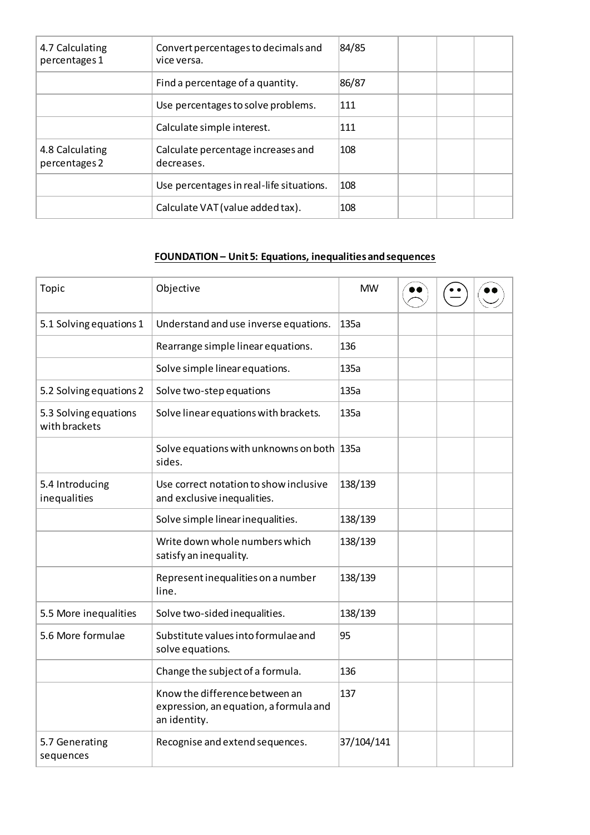| 4.7 Calculating<br>percentages 1 | Convert percentages to decimals and<br>vice versa. | 84/85 |  |  |
|----------------------------------|----------------------------------------------------|-------|--|--|
|                                  | Find a percentage of a quantity.                   | 86/87 |  |  |
|                                  | Use percentages to solve problems.                 | 111   |  |  |
|                                  | Calculate simple interest.                         | 111   |  |  |
| 4.8 Calculating<br>percentages 2 | Calculate percentage increases and<br>decreases.   | 108   |  |  |
|                                  | Use percentages in real-life situations.           | 108   |  |  |
|                                  | Calculate VAT (value added tax).                   | 108   |  |  |

# **FOUNDATION – Unit 5: Equations, inequalities and sequences**

| Topic                                  | Objective                                                                                | <b>MW</b>  |  |  |
|----------------------------------------|------------------------------------------------------------------------------------------|------------|--|--|
| 5.1 Solving equations 1                | Understand and use inverse equations.                                                    | 135a       |  |  |
|                                        | Rearrange simple linear equations.                                                       | 136        |  |  |
|                                        | Solve simple linear equations.                                                           | 135a       |  |  |
| 5.2 Solving equations 2                | Solve two-step equations                                                                 | 135a       |  |  |
| 5.3 Solving equations<br>with brackets | Solve linear equations with brackets.                                                    | 135a       |  |  |
|                                        | Solve equations with unknowns on both 135a<br>sides.                                     |            |  |  |
| 5.4 Introducing<br>inequalities        | Use correct notation to show inclusive<br>and exclusive inequalities.                    | 138/139    |  |  |
|                                        | Solve simple linear inequalities.                                                        | 138/139    |  |  |
|                                        | Write down whole numbers which<br>satisfy an inequality.                                 | 138/139    |  |  |
|                                        | Represent inequalities on a number<br>line.                                              | 138/139    |  |  |
| 5.5 More inequalities                  | Solve two-sided inequalities.                                                            | 138/139    |  |  |
| 5.6 More formulae                      | Substitute values into formulae and<br>solve equations.                                  | 95         |  |  |
|                                        | Change the subject of a formula.                                                         | 136        |  |  |
|                                        | Know the difference between an<br>expression, an equation, a formula and<br>an identity. | 137        |  |  |
| 5.7 Generating<br>sequences            | Recognise and extend sequences.                                                          | 37/104/141 |  |  |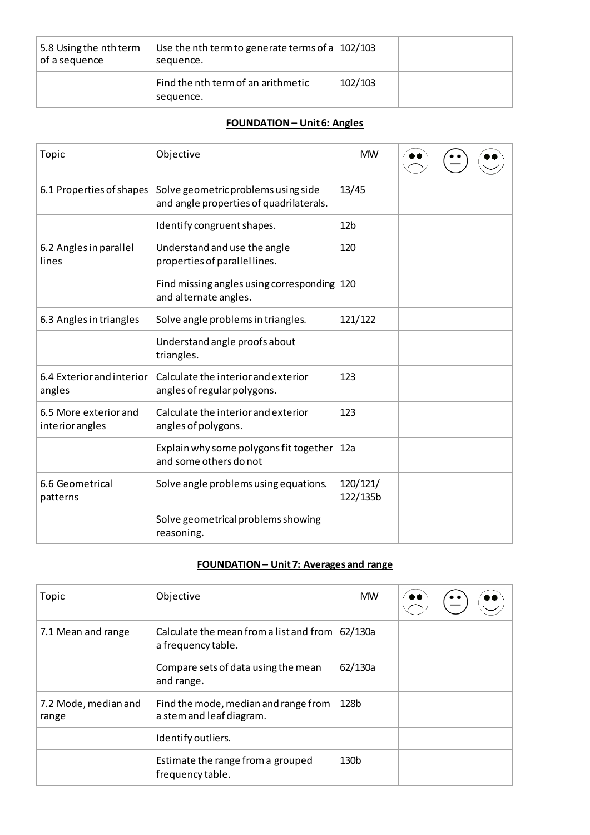| 5.8 Using the nth term<br>of a sequence | Use the nth term to generate terms of a $ 102/103 $<br>sequence. |         |  |  |
|-----------------------------------------|------------------------------------------------------------------|---------|--|--|
|                                         | Find the nth term of an arithmetic<br>sequence.                  | 102/103 |  |  |

## **FOUNDATION – Unit 6: Angles**

| Topic                                    | Objective                                                                      | <b>MW</b>            |  |  |
|------------------------------------------|--------------------------------------------------------------------------------|----------------------|--|--|
| 6.1 Properties of shapes                 | Solve geometric problems using side<br>and angle properties of quadrilaterals. | 13/45                |  |  |
|                                          | Identify congruent shapes.                                                     | 12 <sub>b</sub>      |  |  |
| 6.2 Angles in parallel<br>lines          | Understand and use the angle<br>properties of parallellines.                   | 120                  |  |  |
|                                          | Find missing angles using corresponding 120<br>and alternate angles.           |                      |  |  |
| 6.3 Angles in triangles                  | Solve angle problems in triangles.                                             | 121/122              |  |  |
|                                          | Understand angle proofs about<br>triangles.                                    |                      |  |  |
| 6.4 Exterior and interior<br>angles      | Calculate the interior and exterior<br>angles of regular polygons.             | 123                  |  |  |
| 6.5 More exterior and<br>interior angles | Calculate the interior and exterior<br>angles of polygons.                     | 123                  |  |  |
|                                          | Explain why some polygons fit together<br>and some others do not               | 12a                  |  |  |
| 6.6 Geometrical<br>patterns              | Solve angle problems using equations.                                          | 120/121/<br>122/135b |  |  |
|                                          | Solve geometrical problems showing<br>reasoning.                               |                      |  |  |

# **FOUNDATION – Unit 7: Averages and range**

| Topic                         | Objective                                                        | <b>MW</b>        |  |  |
|-------------------------------|------------------------------------------------------------------|------------------|--|--|
| 7.1 Mean and range            | Calculate the mean from a list and from<br>a frequency table.    | 62/130a          |  |  |
|                               | Compare sets of data using the mean<br>and range.                | 62/130a          |  |  |
| 7.2 Mode, median and<br>range | Find the mode, median and range from<br>a stem and leaf diagram. | 128 <sub>b</sub> |  |  |
|                               | Identify outliers.                                               |                  |  |  |
|                               | Estimate the range from a grouped<br>frequency table.            | 130 <sub>b</sub> |  |  |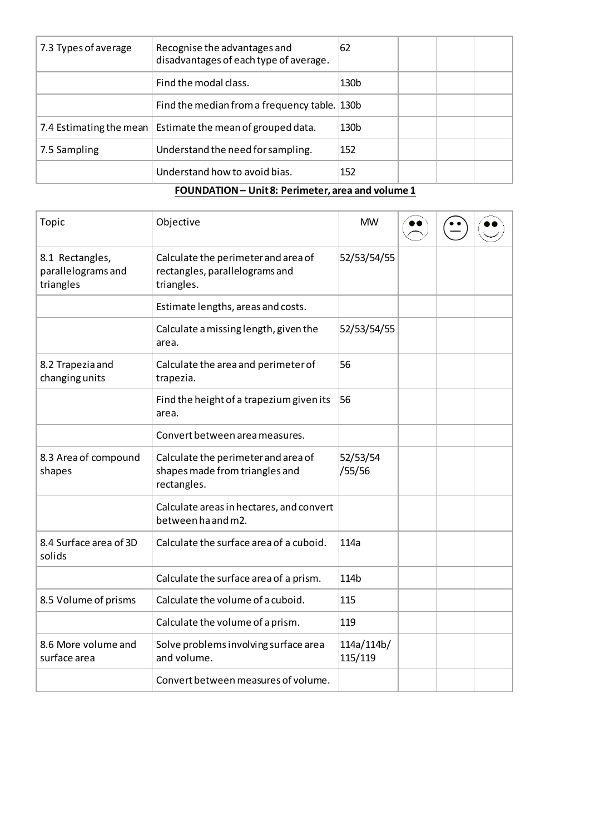| 7.3 Types of average | Recognise the advantages and<br>disadvantages of each type of average. | 62               |  |  |
|----------------------|------------------------------------------------------------------------|------------------|--|--|
|                      | Find the modal class.                                                  | 130 <sub>b</sub> |  |  |
|                      | Find the median from a frequency table. 130b                           |                  |  |  |
|                      | 7.4 Estimating the mean   Estimate the mean of grouped data.           | 130 <sub>b</sub> |  |  |
| 7.5 Sampling         | Understand the need for sampling.                                      | 152              |  |  |
|                      | Understand how to avoid bias.                                          | 152              |  |  |

## **FOUNDATION – Unit 8: Perimeter, area and volume 1**

| Topic                                              | Objective                                                                            | <b>MW</b>             |  |  |
|----------------------------------------------------|--------------------------------------------------------------------------------------|-----------------------|--|--|
| 8.1 Rectangles,<br>parallelograms and<br>triangles | Calculate the perimeter and area of<br>rectangles, parallelograms and<br>triangles.  | 52/53/54/55           |  |  |
|                                                    | Estimate lengths, areas and costs.                                                   |                       |  |  |
|                                                    | Calculate a missing length, given the<br>area.                                       | 52/53/54/55           |  |  |
| 8.2 Trapezia and<br>changing units                 | Calculate the area and perimeter of<br>trapezia.                                     | 56                    |  |  |
|                                                    | Find the height of a trapezium given its<br>area.                                    | 56                    |  |  |
|                                                    | Convert between area measures.                                                       |                       |  |  |
| 8.3 Area of compound<br>shapes                     | Calculate the perimeter and area of<br>shapes made from triangles and<br>rectangles. | 52/53/54<br>/55/56    |  |  |
|                                                    | Calculate areas in hectares, and convert<br>between ha and m2.                       |                       |  |  |
| 8.4 Surface area of 3D<br>solids                   | Calculate the surface area of a cuboid.                                              | 114a                  |  |  |
|                                                    | Calculate the surface area of a prism.                                               | 114 <sub>b</sub>      |  |  |
| 8.5 Volume of prisms                               | Calculate the volume of a cuboid.                                                    | 115                   |  |  |
|                                                    | Calculate the volume of a prism.                                                     | 119                   |  |  |
| 8.6 More volume and<br>surface area                | Solve problems involving surface area<br>and volume.                                 | 114a/114b/<br>115/119 |  |  |
|                                                    | Convert between measures of volume.                                                  |                       |  |  |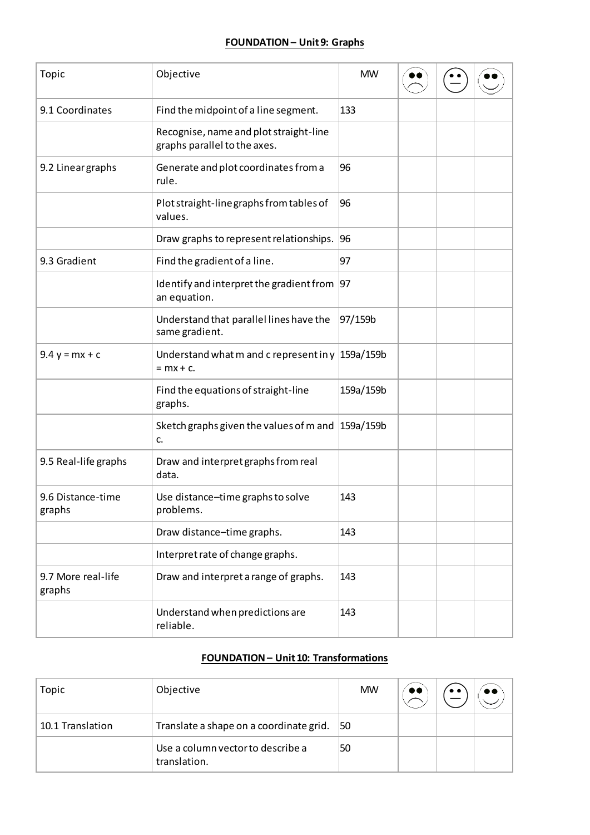## **FOUNDATION – Unit 9: Graphs**

| Topic                        | Objective                                                              | <b>MW</b> |  |  |
|------------------------------|------------------------------------------------------------------------|-----------|--|--|
| 9.1 Coordinates              | Find the midpoint of a line segment.                                   | 133       |  |  |
|                              | Recognise, name and plot straight-line<br>graphs parallel to the axes. |           |  |  |
| 9.2 Linear graphs            | Generate and plot coordinates from a<br>rule.                          | 96        |  |  |
|                              | Plot straight-line graphs from tables of<br>values.                    | 96        |  |  |
|                              | Draw graphs to represent relationships. 96                             |           |  |  |
| 9.3 Gradient                 | Find the gradient of a line.                                           | 97        |  |  |
|                              | Identify and interpret the gradient from $ 97 $<br>an equation.        |           |  |  |
|                              | Understand that parallel lines have the<br>same gradient.              | 97/159b   |  |  |
| $9.4 y = mx + c$             | Understand what m and c represent in y $159a/159b$<br>$= mx + c.$      |           |  |  |
|                              | Find the equations of straight-line<br>graphs.                         | 159a/159b |  |  |
|                              | Sketch graphs given the values of m and $ 159a/159b$<br>c.             |           |  |  |
| 9.5 Real-life graphs         | Draw and interpret graphs from real<br>data.                           |           |  |  |
| 9.6 Distance-time<br>graphs  | Use distance-time graphs to solve<br>problems.                         | 143       |  |  |
|                              | Draw distance-time graphs.                                             | 143       |  |  |
|                              | Interpret rate of change graphs.                                       |           |  |  |
| 9.7 More real-life<br>graphs | Draw and interpret a range of graphs.                                  | 143       |  |  |
|                              | Understand when predictions are<br>reliable.                           | 143       |  |  |

# **FOUNDATION – Unit 10: Transformations**

| Topic            | Objective                                         | <b>MW</b> | $\bullet\bullet$ | $\bullet\bullet$ |  |
|------------------|---------------------------------------------------|-----------|------------------|------------------|--|
| 10.1 Translation | Translate a shape on a coordinate grid.           | 150       |                  |                  |  |
|                  | Use a column vector to describe a<br>translation. | 50        |                  |                  |  |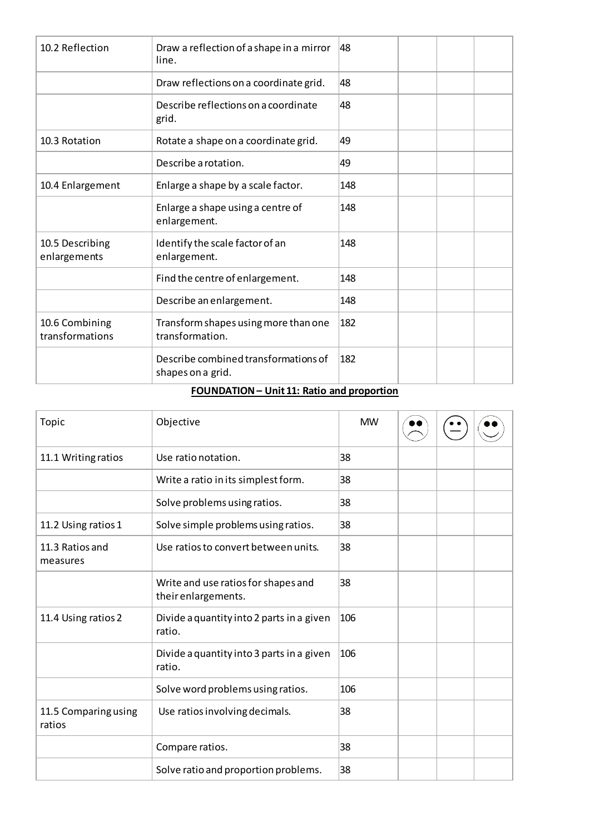| 10.2 Reflection                   | Draw a reflection of a shape in a mirror<br>line.         | 48  |  |
|-----------------------------------|-----------------------------------------------------------|-----|--|
|                                   | Draw reflections on a coordinate grid.                    | 48  |  |
|                                   | Describe reflections on a coordinate<br>grid.             | 48  |  |
| 10.3 Rotation                     | Rotate a shape on a coordinate grid.                      | 49  |  |
|                                   | Describe a rotation.                                      | 49  |  |
| 10.4 Enlargement                  | Enlarge a shape by a scale factor.                        | 148 |  |
|                                   | Enlarge a shape using a centre of<br>enlargement.         | 148 |  |
| 10.5 Describing<br>enlargements   | Identify the scale factor of an<br>enlargement.           | 148 |  |
|                                   | Find the centre of enlargement.                           | 148 |  |
|                                   | Describe an enlargement.                                  | 148 |  |
| 10.6 Combining<br>transformations | Transform shapes using more than one<br>transformation.   | 182 |  |
|                                   | Describe combined transformations of<br>shapes on a grid. | 182 |  |

# **FOUNDATION – Unit 11: Ratio and proportion**

| Topic                          | Objective                                                  | <b>MW</b> |  |  |
|--------------------------------|------------------------------------------------------------|-----------|--|--|
| 11.1 Writing ratios            | Use ratio notation.                                        | 38        |  |  |
|                                | Write a ratio in its simplest form.                        | 38        |  |  |
|                                | Solve problems using ratios.                               | 38        |  |  |
| 11.2 Using ratios 1            | Solve simple problems using ratios.                        | 38        |  |  |
| 11.3 Ratios and<br>measures    | Use ratios to convert between units.                       | 38        |  |  |
|                                | Write and use ratios for shapes and<br>their enlargements. | 38        |  |  |
| 11.4 Using ratios 2            | Divide a quantity into 2 parts in a given<br>ratio.        | 106       |  |  |
|                                | Divide a quantity into 3 parts in a given<br>ratio.        | 106       |  |  |
|                                | Solve word problems using ratios.                          | 106       |  |  |
| 11.5 Comparing using<br>ratios | Use ratios involving decimals.                             | 38        |  |  |
|                                | Compare ratios.                                            | 38        |  |  |
|                                | Solve ratio and proportion problems.                       | 38        |  |  |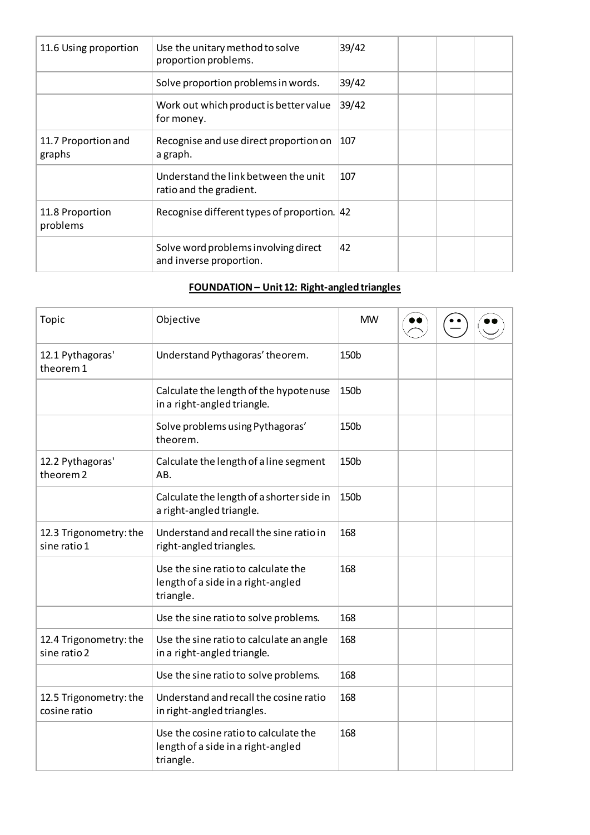| 11.6 Using proportion         | Use the unitary method to solve<br>proportion problems.         | 39/42 |  |  |
|-------------------------------|-----------------------------------------------------------------|-------|--|--|
|                               | Solve proportion problems in words.                             | 39/42 |  |  |
|                               | Work out which product is better value<br>for money.            | 39/42 |  |  |
| 11.7 Proportion and<br>graphs | Recognise and use direct proportion on<br>a graph.              | 107   |  |  |
|                               | Understand the link between the unit<br>ratio and the gradient. | 107   |  |  |
| 11.8 Proportion<br>problems   | Recognise different types of proportion. 42                     |       |  |  |
|                               | Solve word problems involving direct<br>and inverse proportion. | 42    |  |  |

## **FOUNDATION – Unit 12: Right-angled triangles**

| Topic                                    | Objective                                                                                | <b>MW</b>        |  |  |
|------------------------------------------|------------------------------------------------------------------------------------------|------------------|--|--|
| 12.1 Pythagoras'<br>theorem 1            | Understand Pythagoras' theorem.                                                          | 150b             |  |  |
|                                          | Calculate the length of the hypotenuse<br>in a right-angled triangle.                    | 150 <sub>b</sub> |  |  |
|                                          | Solve problems using Pythagoras'<br>theorem.                                             | 150 <sub>b</sub> |  |  |
| 12.2 Pythagoras'<br>theorem <sub>2</sub> | Calculate the length of a line segment<br>AB.                                            | 150b             |  |  |
|                                          | Calculate the length of a shorter side in<br>a right-angled triangle.                    | 150b             |  |  |
| 12.3 Trigonometry: the<br>sine ratio 1   | Understand and recall the sine ratio in<br>right-angled triangles.                       | 168              |  |  |
|                                          | Use the sine ratio to calculate the<br>length of a side in a right-angled<br>triangle.   | 168              |  |  |
|                                          | Use the sine ratio to solve problems.                                                    | 168              |  |  |
| 12.4 Trigonometry: the<br>sine ratio 2   | Use the sine ratio to calculate an angle<br>in a right-angled triangle.                  | 168              |  |  |
|                                          | Use the sine ratio to solve problems.                                                    | 168              |  |  |
| 12.5 Trigonometry: the<br>cosine ratio   | Understand and recall the cosine ratio<br>in right-angled triangles.                     | 168              |  |  |
|                                          | Use the cosine ratio to calculate the<br>length of a side in a right-angled<br>triangle. | 168              |  |  |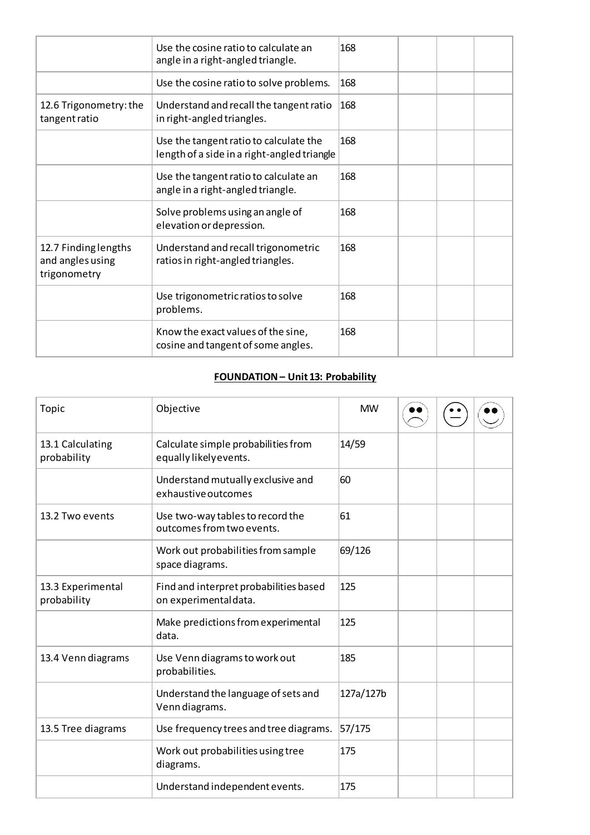|                                                          | Use the cosine ratio to calculate an<br>angle in a right-angled triangle.             | 168 |  |  |
|----------------------------------------------------------|---------------------------------------------------------------------------------------|-----|--|--|
|                                                          | Use the cosine ratio to solve problems.                                               | 168 |  |  |
| 12.6 Trigonometry: the<br>tangent ratio                  | Understand and recall the tangent ratio<br>in right-angled triangles.                 | 168 |  |  |
|                                                          | Use the tangent ratio to calculate the<br>length of a side in a right-angled triangle | 168 |  |  |
|                                                          | Use the tangent ratio to calculate an<br>angle in a right-angled triangle.            | 168 |  |  |
|                                                          | Solve problems using an angle of<br>elevation or depression.                          | 168 |  |  |
| 12.7 Finding lengths<br>and angles using<br>trigonometry | Understand and recall trigonometric<br>ratios in right-angled triangles.              | 168 |  |  |
|                                                          | Use trigonometric ratios to solve<br>problems.                                        | 168 |  |  |
|                                                          | Know the exact values of the sine,<br>cosine and tangent of some angles.              | 168 |  |  |

## **FOUNDATION – Unit 13: Probability**

| Topic                            | Objective                                                       | <b>MW</b> |  |  |
|----------------------------------|-----------------------------------------------------------------|-----------|--|--|
| 13.1 Calculating<br>probability  | Calculate simple probabilities from<br>equally likely events.   | 14/59     |  |  |
|                                  | Understand mutually exclusive and<br>exhaustive outcomes        | 60        |  |  |
| 13.2 Two events                  | Use two-way tables to record the<br>outcomes from two events.   | 61        |  |  |
|                                  | Work out probabilities from sample<br>space diagrams.           | 69/126    |  |  |
| 13.3 Experimental<br>probability | Find and interpret probabilities based<br>on experimental data. | 125       |  |  |
|                                  | Make predictions from experimental<br>data.                     | 125       |  |  |
| 13.4 Venn diagrams               | Use Venn diagrams to work out<br>probabilities.                 | 185       |  |  |
|                                  | Understand the language of sets and<br>Venn diagrams.           | 127a/127b |  |  |
| 13.5 Tree diagrams               | Use frequency trees and tree diagrams.                          | 57/175    |  |  |
|                                  | Work out probabilities using tree<br>diagrams.                  | 175       |  |  |
|                                  | Understand independent events.                                  | 175       |  |  |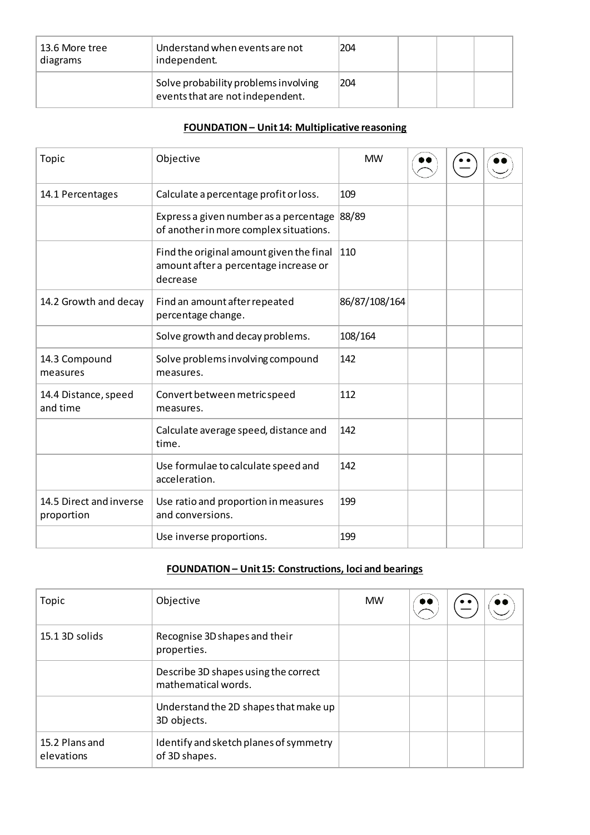| 13.6 More tree<br>diagrams | Understand when events are not<br>independent.                           | 204 |  |  |
|----------------------------|--------------------------------------------------------------------------|-----|--|--|
|                            | Solve probability problems involving<br>events that are not independent. | 204 |  |  |

# **FOUNDATION – Unit 14: Multiplicative reasoning**

| Topic                                 | Objective                                                                                     | <b>MW</b>     |  |  |
|---------------------------------------|-----------------------------------------------------------------------------------------------|---------------|--|--|
| 14.1 Percentages                      | Calculate a percentage profit or loss.                                                        | 109           |  |  |
|                                       | Express a given number as a percentage<br>of another in more complex situations.              | 88/89         |  |  |
|                                       | Find the original amount given the final<br>amount after a percentage increase or<br>decrease | 110           |  |  |
| 14.2 Growth and decay                 | Find an amount after repeated<br>percentage change.                                           | 86/87/108/164 |  |  |
|                                       | Solve growth and decay problems.                                                              | 108/164       |  |  |
| 14.3 Compound<br>measures             | Solve problems involving compound<br>measures.                                                | 142           |  |  |
| 14.4 Distance, speed<br>and time      | Convert between metric speed<br>measures.                                                     | 112           |  |  |
|                                       | Calculate average speed, distance and<br>time.                                                | 142           |  |  |
|                                       | Use formulae to calculate speed and<br>acceleration.                                          | 142           |  |  |
| 14.5 Direct and inverse<br>proportion | Use ratio and proportion in measures<br>and conversions.                                      | 199           |  |  |
|                                       | Use inverse proportions.                                                                      | 199           |  |  |

# **FOUNDATION – Unit 15: Constructions, loci and bearings**

| Topic                        | Objective                                                   | <b>MW</b> | $\bullet\bullet$ |  |
|------------------------------|-------------------------------------------------------------|-----------|------------------|--|
| 15.1 3D solids               | Recognise 3D shapes and their<br>properties.                |           |                  |  |
|                              | Describe 3D shapes using the correct<br>mathematical words. |           |                  |  |
|                              | Understand the 2D shapes that make up<br>3D objects.        |           |                  |  |
| 15.2 Plans and<br>elevations | Identify and sketch planes of symmetry<br>of 3D shapes.     |           |                  |  |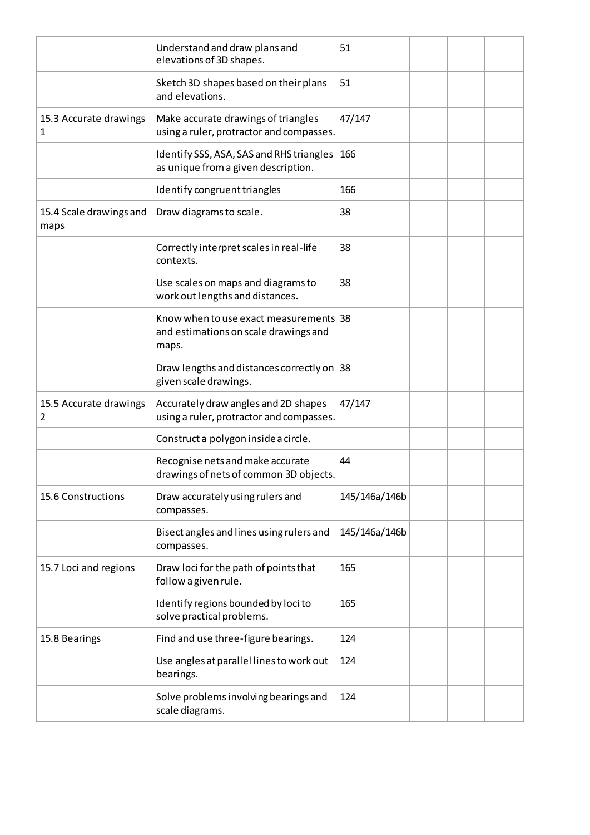|                                 | Understand and draw plans and<br>elevations of 3D shapes.                                | 51            |  |  |
|---------------------------------|------------------------------------------------------------------------------------------|---------------|--|--|
|                                 | Sketch 3D shapes based on their plans<br>and elevations.                                 | 51            |  |  |
| 15.3 Accurate drawings<br>1     | Make accurate drawings of triangles<br>using a ruler, protractor and compasses.          | 47/147        |  |  |
|                                 | Identify SSS, ASA, SAS and RHS triangles<br>as unique from a given description.          | 166           |  |  |
|                                 | Identify congruent triangles                                                             | 166           |  |  |
| 15.4 Scale drawings and<br>maps | Draw diagrams to scale.                                                                  | 38            |  |  |
|                                 | Correctly interpret scales in real-life<br>contexts.                                     | 38            |  |  |
|                                 | Use scales on maps and diagrams to<br>work out lengths and distances.                    | 38            |  |  |
|                                 | Know when to use exact measurements 38<br>and estimations on scale drawings and<br>maps. |               |  |  |
|                                 | Draw lengths and distances correctly on 38<br>given scale drawings.                      |               |  |  |
| 15.5 Accurate drawings<br>2     | Accurately draw angles and 2D shapes<br>using a ruler, protractor and compasses.         | 47/147        |  |  |
|                                 | Construct a polygon inside a circle.                                                     |               |  |  |
|                                 | Recognise nets and make accurate<br>drawings of nets of common 3D objects.               | 44            |  |  |
| 15.6 Constructions              | Draw accurately using rulers and<br>compasses.                                           | 145/146a/146b |  |  |
|                                 | Bisect angles and lines using rulers and<br>compasses.                                   | 145/146a/146b |  |  |
| 15.7 Loci and regions           | Draw loci for the path of points that<br>follow a given rule.                            | 165           |  |  |
|                                 | Identify regions bounded by loci to<br>solve practical problems.                         | 165           |  |  |
| 15.8 Bearings                   | Find and use three-figure bearings.                                                      | 124           |  |  |
|                                 | Use angles at parallel lines to work out<br>bearings.                                    | 124           |  |  |
|                                 | Solve problems involving bearings and<br>scale diagrams.                                 | 124           |  |  |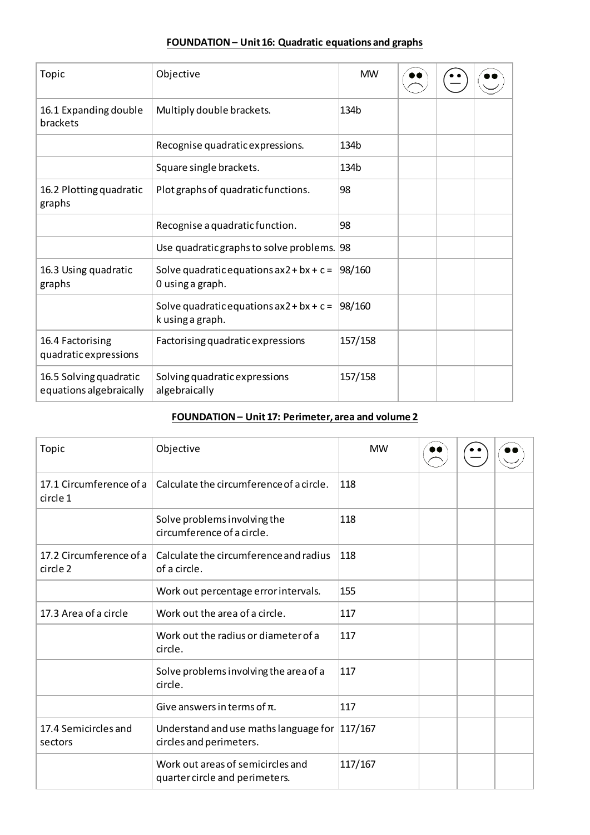## **FOUNDATION – Unit 16: Quadratic equations and graphs**

| Topic                                             | Objective                                                      | <b>MW</b> |  |  |
|---------------------------------------------------|----------------------------------------------------------------|-----------|--|--|
| 16.1 Expanding double<br>brackets                 | Multiply double brackets.                                      | 134b      |  |  |
|                                                   | Recognise quadratic expressions.                               | 134b      |  |  |
|                                                   | Square single brackets.                                        | 134b      |  |  |
| 16.2 Plotting quadratic<br>graphs                 | Plot graphs of quadratic functions.                            | 98        |  |  |
|                                                   | Recognise a quadratic function.                                | 98        |  |  |
|                                                   | Use quadratic graphs to solve problems. 98                     |           |  |  |
| 16.3 Using quadratic<br>graphs                    | Solve quadratic equations $ax2 + bx + c =$<br>0 using a graph. | 98/160    |  |  |
|                                                   | Solve quadratic equations $ax2 + bx + c =$<br>k using a graph. | 98/160    |  |  |
| 16.4 Factorising<br>quadratic expressions         | Factorising quadratic expressions                              | 157/158   |  |  |
| 16.5 Solving quadratic<br>equations algebraically | Solving quadratic expressions<br>algebraically                 | 157/158   |  |  |

## **FOUNDATION – Unit 17: Perimeter, area and volume 2**

| Topic                               | Objective                                                                | <b>MW</b> |  |  |
|-------------------------------------|--------------------------------------------------------------------------|-----------|--|--|
| 17.1 Circumference of a<br>circle 1 | Calculate the circumference of a circle.                                 | 118       |  |  |
|                                     | Solve problems involving the<br>circumference of a circle.               | 118       |  |  |
| 17.2 Circumference of a<br>circle 2 | Calculate the circumference and radius<br>of a circle.                   | 118       |  |  |
|                                     | Work out percentage error intervals.                                     | 155       |  |  |
| 17.3 Area of a circle               | Work out the area of a circle.                                           | 117       |  |  |
|                                     | Work out the radius or diameter of a<br>circle.                          | 117       |  |  |
|                                     | Solve problems involving the area of a<br>circle.                        | 117       |  |  |
|                                     | Give answers in terms of $\pi$ .                                         | 117       |  |  |
| 17.4 Semicircles and<br>sectors     | Understand and use maths language for 117/167<br>circles and perimeters. |           |  |  |
|                                     | Work out areas of semicircles and<br>quarter circle and perimeters.      | 117/167   |  |  |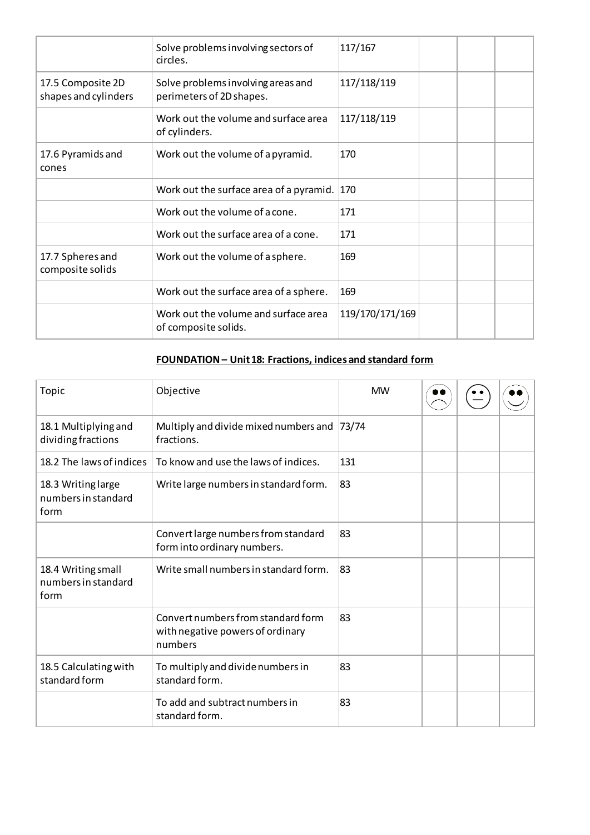|                                           | Solve problems involving sectors of<br>circles.                | 117/167         |  |  |
|-------------------------------------------|----------------------------------------------------------------|-----------------|--|--|
| 17.5 Composite 2D<br>shapes and cylinders | Solve problems involving areas and<br>perimeters of 2D shapes. | 117/118/119     |  |  |
|                                           | Work out the volume and surface area<br>of cylinders.          | 117/118/119     |  |  |
| 17.6 Pyramids and<br>cones                | Work out the volume of a pyramid.                              | 170             |  |  |
|                                           | Work out the surface area of a pyramid.                        | 170             |  |  |
|                                           | Work out the volume of a cone.                                 | 171             |  |  |
|                                           | Work out the surface area of a cone.                           | 171             |  |  |
| 17.7 Spheres and<br>composite solids      | Work out the volume of a sphere.                               | 169             |  |  |
|                                           | Work out the surface area of a sphere.                         | 169             |  |  |
|                                           | Work out the volume and surface area<br>of composite solids.   | 119/170/171/169 |  |  |

# **FOUNDATION – Unit 18: Fractions, indices and standard form**

| Topic                                             | Objective                                                                         | <b>MW</b> |  |  |
|---------------------------------------------------|-----------------------------------------------------------------------------------|-----------|--|--|
| 18.1 Multiplying and<br>dividing fractions        | Multiply and divide mixed numbers and<br>fractions.                               | 73/74     |  |  |
| 18.2 The laws of indices                          | To know and use the laws of indices.                                              | 131       |  |  |
| 18.3 Writing large<br>numbers in standard<br>form | Write large numbers in standard form.                                             | 83        |  |  |
|                                                   | Convert large numbers from standard<br>form into ordinary numbers.                | 83        |  |  |
| 18.4 Writing small<br>numbers in standard<br>form | Write small numbers in standard form.                                             | 83        |  |  |
|                                                   | Convert numbers from standard form<br>with negative powers of ordinary<br>numbers | 83        |  |  |
| 18.5 Calculating with<br>standard form            | To multiply and divide numbers in<br>standard form.                               | 83        |  |  |
|                                                   | To add and subtract numbers in<br>standard form.                                  | 83        |  |  |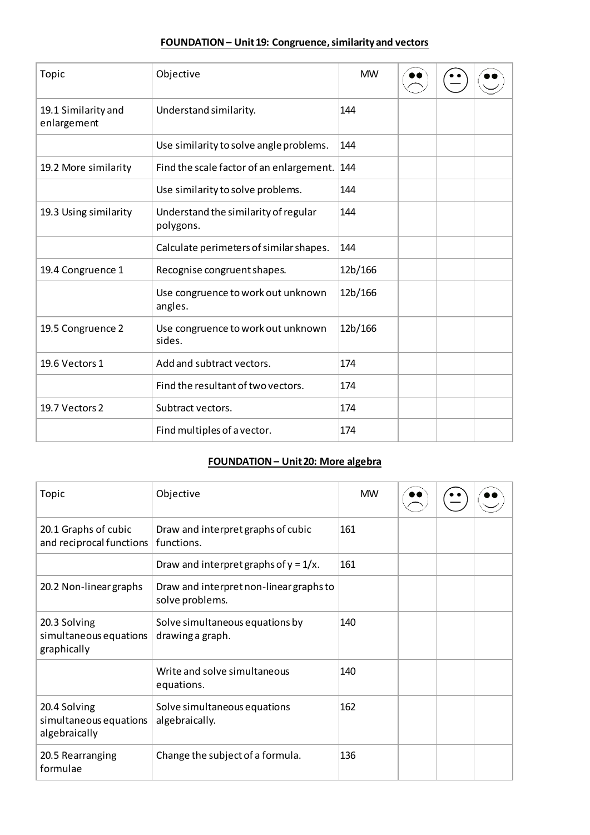## **FOUNDATION – Unit 19: Congruence, similarity and vectors**

| Topic                              | Objective                                         | <b>MW</b> |  |  |
|------------------------------------|---------------------------------------------------|-----------|--|--|
| 19.1 Similarity and<br>enlargement | Understand similarity.                            | 144       |  |  |
|                                    | Use similarity to solve angle problems.           | 144       |  |  |
| 19.2 More similarity               | Find the scale factor of an enlargement.          | 144       |  |  |
|                                    | Use similarity to solve problems.                 | 144       |  |  |
| 19.3 Using similarity              | Understand the similarity of regular<br>polygons. | 144       |  |  |
|                                    | Calculate perimeters of similar shapes.           | 144       |  |  |
| 19.4 Congruence 1                  | Recognise congruent shapes.                       | 12b/166   |  |  |
|                                    | Use congruence to work out unknown<br>angles.     | 12b/166   |  |  |
| 19.5 Congruence 2                  | Use congruence to work out unknown<br>sides.      | 12b/166   |  |  |
| 19.6 Vectors 1                     | Add and subtract vectors.                         | 174       |  |  |
|                                    | Find the resultant of two vectors.                | 174       |  |  |
| 19.7 Vectors 2                     | Subtract vectors.                                 | 174       |  |  |
|                                    | Find multiples of a vector.                       | 174       |  |  |

## **FOUNDATION – Unit 20: More algebra**

| Topic                                                   | Objective                                                  | <b>MW</b> |  |  |
|---------------------------------------------------------|------------------------------------------------------------|-----------|--|--|
| 20.1 Graphs of cubic<br>and reciprocal functions        | Draw and interpret graphs of cubic<br>functions.           | 161       |  |  |
|                                                         | Draw and interpret graphs of $y = 1/x$ .                   | 161       |  |  |
| 20.2 Non-linear graphs                                  | Draw and interpret non-linear graphs to<br>solve problems. |           |  |  |
| 20.3 Solving<br>simultaneous equations<br>graphically   | Solve simultaneous equations by<br>drawing a graph.        | 140       |  |  |
|                                                         | Write and solve simultaneous<br>equations.                 | 140       |  |  |
| 20.4 Solving<br>simultaneous equations<br>algebraically | Solve simultaneous equations<br>algebraically.             | 162       |  |  |
| 20.5 Rearranging<br>formulae                            | Change the subject of a formula.                           | 136       |  |  |